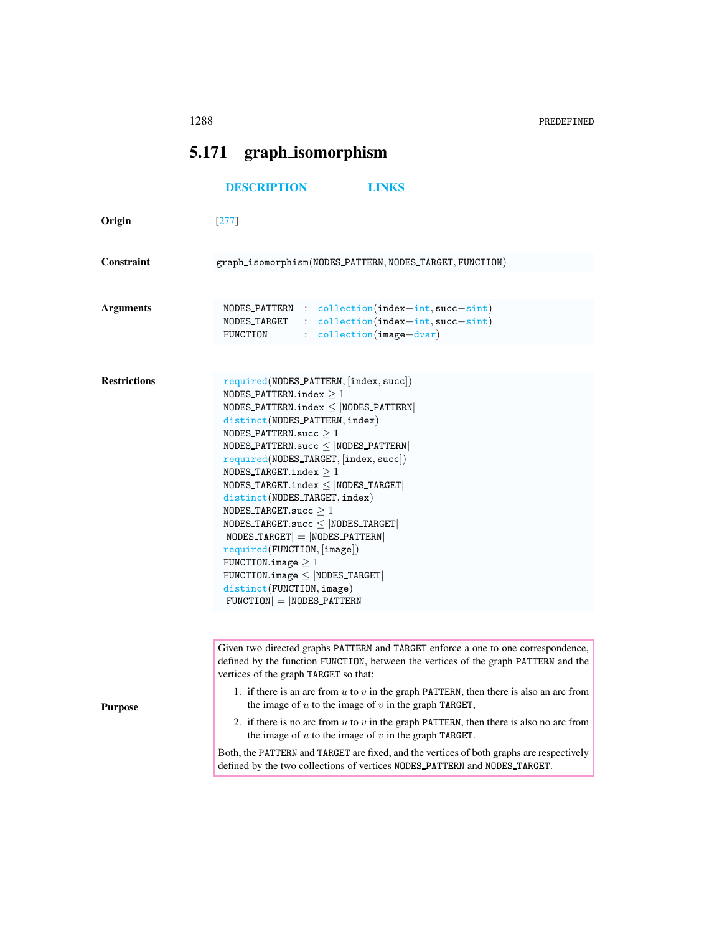1288 PREDEFINED

## 5.171 graph isomorphism

## <span id="page-0-0"></span>[DESCRIPTION](#page-0-0) [LINKS](#page-1-0)

| Origin              | $[277]$                                                                                                                                                                                                                                                                                                                                                                                                                                                                                                                                                                                                                                                                                    |
|---------------------|--------------------------------------------------------------------------------------------------------------------------------------------------------------------------------------------------------------------------------------------------------------------------------------------------------------------------------------------------------------------------------------------------------------------------------------------------------------------------------------------------------------------------------------------------------------------------------------------------------------------------------------------------------------------------------------------|
| <b>Constraint</b>   | graph_isomorphism(NODES_PATTERN,NODES_TARGET,FUNCTION)                                                                                                                                                                                                                                                                                                                                                                                                                                                                                                                                                                                                                                     |
| Arguments           | $NODES$ -PATTERN : collection(index-int, succ-sint)<br>NODES TARGET<br>$: $ collection(index-int, succ-sint)<br>FUNCTION<br>$:$ collection(image-dvar)                                                                                                                                                                                                                                                                                                                                                                                                                                                                                                                                     |
|                     |                                                                                                                                                                                                                                                                                                                                                                                                                                                                                                                                                                                                                                                                                            |
| <b>Restrictions</b> | required(NODES_PATTERN,  index, succ )<br>NODES_PATTERN.index $>1$<br>NODES_PATTERN.index $\leq$  NODES_PATTERN <br>distinct(NODES_PATTERN, index)<br>NODES_PATTERN.succ $\geq 1$<br>$\texttt{NODES\_PATHERN}.\texttt{succ} \leq  \texttt{NODES\_PATHERN} $<br>required(NODES_TARGET, [index, succ])<br>NODES_TARGET.index $>1$<br>NODES_TARGET.index $\leq$  NODES_TARGET <br>distinct(NODES_TARGET, index)<br>NODES TARGET.succ $>1$<br>NODES_TARGET.succ $\leq$  NODES_TARGET <br>$ NODES_T A RGET  =  NODES_P A TTERN $<br>required(FUNCTION, [image])<br>FUNCTION.image $\geq 1$<br>FUNCTION.image $\leq$ NODES TARGET<br>distinct(FUNCTION, image)<br>$ FUNCTION  =  NODES_PATTERN $ |
|                     |                                                                                                                                                                                                                                                                                                                                                                                                                                                                                                                                                                                                                                                                                            |
|                     | Given two directed graphs PATTERN and TARGET enforce a one to one correspondence,<br>defined by the function FUNCTION, between the vertices of the graph PATTERN and the<br>vertices of the graph TARGET so that:                                                                                                                                                                                                                                                                                                                                                                                                                                                                          |
| <b>Purpose</b>      | 1. if there is an arc from $u$ to $v$ in the graph PATTERN, then there is also an arc from<br>the image of $u$ to the image of $v$ in the graph TARGET,                                                                                                                                                                                                                                                                                                                                                                                                                                                                                                                                    |
|                     | 2. if there is no arc from u to v in the graph PATTERN, then there is also no arc from<br>the image of $u$ to the image of $v$ in the graph TARGET.                                                                                                                                                                                                                                                                                                                                                                                                                                                                                                                                        |
|                     | Both, the PATTERN and TARGET are fixed, and the vertices of both graphs are respectively<br>defined by the two collections of vertices NODES_PATTERN and NODES_TARGET.                                                                                                                                                                                                                                                                                                                                                                                                                                                                                                                     |
|                     |                                                                                                                                                                                                                                                                                                                                                                                                                                                                                                                                                                                                                                                                                            |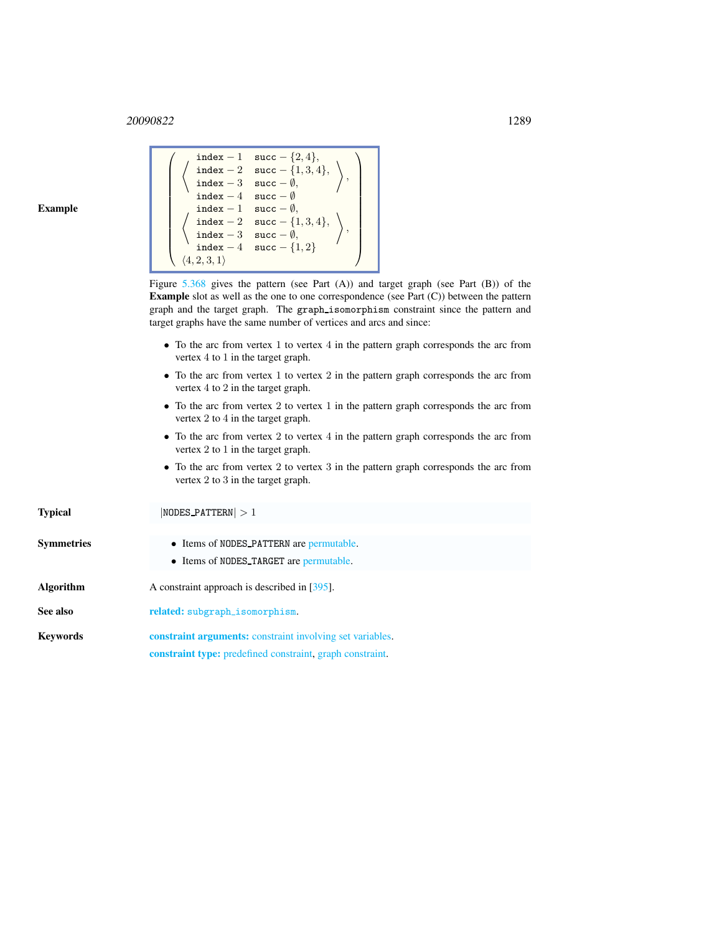<sup>20090822</sup> 1289

 $\sqrt{ }$ 

## Example

| index - 1 succ - {2, 4},<br>$\left\{\n\begin{array}{l}\n\text{index } -2 \quad \text{succ } -\{1,3,4\}, \\ \text{index } -3 \quad \text{succ } -\emptyset,\n\end{array}\n\right\},$<br>$\left\{\n\begin{array}{c}\n\left\{\n\begin{array}{c}\n\text{index } -2 \\ \text{index } -3\n\end{array}\n\text{succ } -\emptyset,\n\end{array}\n\right.\n\left\{\n\begin{array}{c}\n\text{index } -4\n\end{array}\n\text{succ } -\emptyset,\n\begin{array}{c}\n\text{index } -1\n\end{array}\n\text{succ } -\emptyset,\n\end{array}\n\right.\n\left\{\n\begin{array}{c}\n\text{index } -2\n\end{array}\n\text{succ } -\emptyset,\n\begin{array}{c}\n\text{index } -3\n\end{array}\n\text{succ } -\emptyset,\$ |
|-------------------------------------------------------------------------------------------------------------------------------------------------------------------------------------------------------------------------------------------------------------------------------------------------------------------------------------------------------------------------------------------------------------------------------------------------------------------------------------------------------------------------------------------------------------------------------------------------------------------------------------------------------------------------------------------------------|
|                                                                                                                                                                                                                                                                                                                                                                                                                                                                                                                                                                                                                                                                                                       |
| Figure 5.368 gives the pattern (see Part $(A)$ ) and target graph (see Part $(B)$ ) of the                                                                                                                                                                                                                                                                                                                                                                                                                                                                                                                                                                                                            |
| <b>Example</b> slot as well as the one to one correspondence (see Part $(C)$ ) between the pattern                                                                                                                                                                                                                                                                                                                                                                                                                                                                                                                                                                                                    |
| graph and the target graph. The graph_isomorphism constraint since the pattern and                                                                                                                                                                                                                                                                                                                                                                                                                                                                                                                                                                                                                    |
| target graphs have the same number of vertices and arcs and since:                                                                                                                                                                                                                                                                                                                                                                                                                                                                                                                                                                                                                                    |
|                                                                                                                                                                                                                                                                                                                                                                                                                                                                                                                                                                                                                                                                                                       |
| • To the arc from vertex 1 to vertex 4 in the pattern graph corresponds the arc from<br>vertex $4$ to $1$ in the target graph.                                                                                                                                                                                                                                                                                                                                                                                                                                                                                                                                                                        |
| • To the arc from vertex 1 to vertex 2 in the pattern graph corresponds the arc from                                                                                                                                                                                                                                                                                                                                                                                                                                                                                                                                                                                                                  |
| vertex $4$ to $2$ in the target graph.                                                                                                                                                                                                                                                                                                                                                                                                                                                                                                                                                                                                                                                                |
|                                                                                                                                                                                                                                                                                                                                                                                                                                                                                                                                                                                                                                                                                                       |
| • To the arc from vertex 2 to vertex 1 in the pattern graph corresponds the arc from                                                                                                                                                                                                                                                                                                                                                                                                                                                                                                                                                                                                                  |

- since the pattern and esponds the arc from
	- esponds the arc from
	- graph corresponds the arc from vertex 2 to 4 in the target graph.
	- To the arc from vertex 2 to vertex 4 in the pattern graph corresponds the arc from vertex 2 to 1 in the target graph.
	- To the arc from vertex 2 to vertex 3 in the pattern graph corresponds the arc from vertex 2 to 3 in the target graph.

<span id="page-1-0"></span>Typical |NODES\_PATTERN| > 1 Symmetries • Items of NODES PATTERN are permutable. • Items of NODES TARGET are permutable. Algorithm A constraint approach is described in [395]. See also related: subgraph\_isomorphism. Keywords constraint arguments: constraint involving set variables. constraint type: predefined constraint, graph constraint.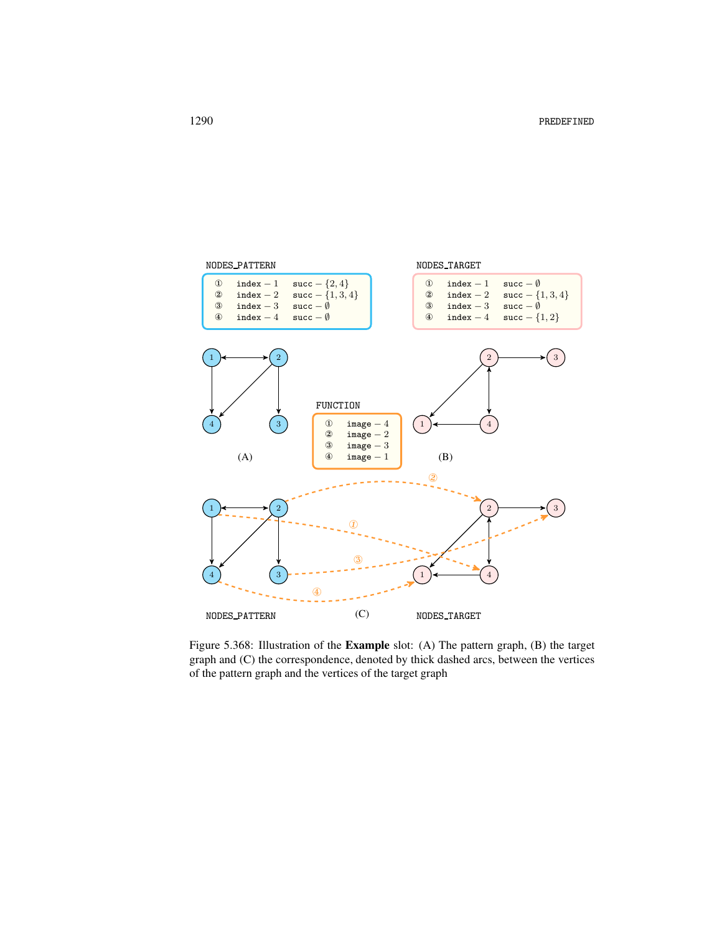

<span id="page-2-0"></span>Figure 5.368: Illustration of the Example slot: (A) The pattern graph, (B) the target graph and (C) the correspondence, denoted by thick dashed arcs, between the vertices of the pattern graph and the vertices of the target graph